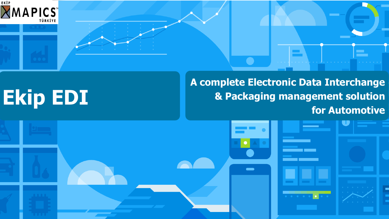





## **Ekip EDI**

#### **A complete Electronic Data Interchange & Packaging management solution for Automotive**

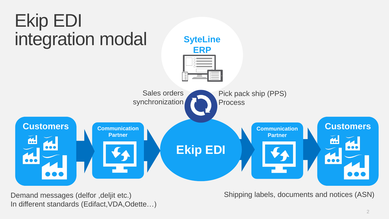

Demand messages (delfor ,deljit etc.) In different standards (Edifact,VDA,Odette…)

#### Shipping labels, documents and notices (ASN)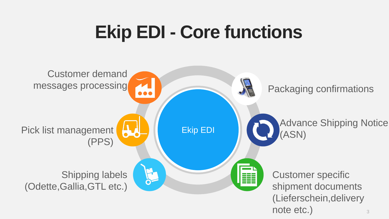## **Ekip EDI - Core functions**

# Advance Shipping Notice

note etc.) Customer specific shipment documents (Lieferschein,delivery



#### Packaging confirmations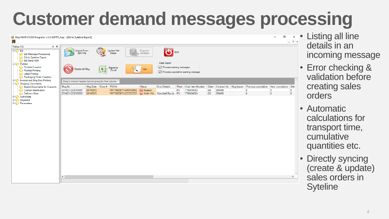### **Customer demand messages processing**

Ekip MAPICS EDI Programı v.3.3-SLPTR\_App - [Edi to Syteline Export]





 $\overline{\phantom{a}}$ 

 $\bot$   $\parallel$   $\sigma$   $\parallel$   $\times$ 

 $\overline{0}$ 

 $\overline{0}$ 

• Error checking & validation before creating sales orders

• Automatic calculations for transport time, cumulative quantities etc.

• Directly syncing (create & update) sales orders in **Syteline**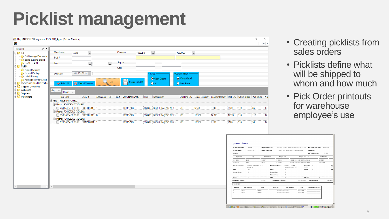### **Picklist management**

| Ekip MAPICS EDI Programı v.3.3-SLPTR_App - [Picklist Creation]    |                                                    |                                  |                      |                                                  |                 |                                   |                      |        |                                                                                             |              |                                  | 巾                     | X                  |
|-------------------------------------------------------------------|----------------------------------------------------|----------------------------------|----------------------|--------------------------------------------------|-----------------|-----------------------------------|----------------------|--------|---------------------------------------------------------------------------------------------|--------------|----------------------------------|-----------------------|--------------------|
| $\bm{\times}$                                                     |                                                    |                                  |                      |                                                  |                 |                                   |                      |        |                                                                                             |              |                                  |                       | $ E$ $\times$      |
| Teklas Edi<br>$\mathscr{D}$ $\times$                              |                                                    |                                  |                      |                                                  |                 |                                   |                      |        |                                                                                             |              |                                  |                       |                    |
| 日 <b>じ Edi</b><br><b>Edi Message Processin</b>                    | Warehouse                                          | <b>MAIN</b><br>$\cdot$           |                      | Customer                                         | Y0020EU         |                                   | Y0020EU              |        |                                                                                             |              |                                  |                       |                    |
| Edi to Syteline Export                                            | PUS#                                               |                                  |                      |                                                  |                 |                                   |                      |        |                                                                                             |              |                                  |                       |                    |
| <b>Edi Send ASN</b>                                               | tem                                                | $\Box$                           | $\blacksquare$       | Ship to                                          |                 |                                   |                      |        |                                                                                             |              |                                  |                       |                    |
| □ Picklist                                                        |                                                    |                                  |                      | Gate                                             |                 |                                   |                      |        |                                                                                             |              |                                  |                       |                    |
| Picklist Creation<br>Picklist Printing                            | Due Date                                           | 30/ 10/ 2018<br>Г                |                      |                                                  |                 | -Status                           | <b>Consolidation</b> |        |                                                                                             |              |                                  |                       |                    |
| Label Printing                                                    |                                                    |                                  |                      |                                                  |                 |                                   |                      |        |                                                                                             |              |                                  |                       |                    |
| Packaging Order Creati                                            |                                                    |                                  | $\mathbf{R}$<br>List |                                                  | Create Picklist | O Open Orders                     | O Consolidated       |        |                                                                                             |              |                                  |                       |                    |
| in Invoice and Ship.Doc.Printin<br><b>E-C-</b> Shipping Documents | ← Select All                                       | Ste Cancel Selected              |                      |                                                  |                 | $O$ All                           | O Item Based         |        |                                                                                             |              |                                  |                       |                    |
| 国 <b>心</b> Authorities                                            | Grp<br>$\overline{\mathcal{N}}$                    |                                  |                      |                                                  |                 |                                   |                      |        |                                                                                             |              |                                  |                       |                    |
| 国 Shipment                                                        | Pusno                                              | $\sim$ $\Delta$                  |                      |                                                  |                 |                                   |                      |        |                                                                                             |              |                                  |                       |                    |
| <b>Eller</b> Parameters                                           | Due Date                                           | $\triangle$ Order #              |                      | Sequence   L3P   Ran #   Cust.ltem Numb A   Item |                 | Description                       |                      |        | On Hand Qty   Order Quantity   Back Order Qty   Pick Qty   Qty in a Box   # of Boxes   # of |              |                                  |                       |                    |
|                                                                   | Grp: Y0020EU 017DUS02<br>Pusno: FO140624/017/DUS02 |                                  |                      |                                                  |                 |                                   |                      |        |                                                                                             |              |                                  |                       |                    |
|                                                                   |                                                    | 24/06/2014 00:00:00 CO00001335 1 |                      | 100861-103                                       |                 | 550499 BROSE TAŞIYICI MEK - L 580 |                      | 6,140  | 6,140                                                                                       | 6140         | 110                              | 56                    | 12                 |
|                                                                   | Pusno: FO140725/017/DUS02                          |                                  |                      |                                                  |                 |                                   |                      |        |                                                                                             |              |                                  |                       |                    |
|                                                                   |                                                    | 25/07/2014 00:00:00 CO00001336 6 |                      | 100861-103                                       |                 | 550499 BROSE TAŞIYICI MEK.-L 580  |                      | 12,320 | 12,320                                                                                      | 12320        | 110                              | 112                   | 12                 |
|                                                                   | Pusno: FO140820/017/DUS02                          | 27/01/2014 00:00:00 CO16100061 1 |                      | 100861-103                                       |                 | 550499 BROSE TAŞIYICI MEK.-L 580  |                      | 12,320 | 6,160                                                                                       | 6160         | 110                              | 56                    | 12                 |
|                                                                   |                                                    |                                  |                      |                                                  |                 |                                   |                      |        |                                                                                             |              |                                  |                       |                    |
|                                                                   |                                                    |                                  |                      |                                                  |                 |                                   |                      |        |                                                                                             |              |                                  |                       |                    |
|                                                                   |                                                    |                                  |                      |                                                  |                 |                                   |                      |        |                                                                                             |              |                                  |                       |                    |
|                                                                   |                                                    |                                  |                      |                                                  |                 |                                   |                      |        |                                                                                             |              |                                  |                       |                    |
|                                                                   |                                                    |                                  |                      |                                                  |                 |                                   |                      |        |                                                                                             |              | <b>ÇEKME LİSTESİ</b>             |                       |                    |
|                                                                   |                                                    |                                  |                      |                                                  |                 |                                   |                      |        |                                                                                             |              | ÇEKME LİSTESİ NO:                | 101486                | <b>MÜŞTERİ KOD</b> |
|                                                                   |                                                    |                                  |                      |                                                  |                 |                                   |                      |        |                                                                                             | AMBAR:       | <b>CEKME TARIHİ:</b>             | 22.03.2004            | <b>PLANT KODU/</b> |
|                                                                   |                                                    |                                  |                      |                                                  |                 |                                   |                      |        |                                                                                             |              | Sipariş No                       | Kapı                  | Teklas Ko          |
|                                                                   |                                                    |                                  |                      |                                                  |                 |                                   |                      |        |                                                                                             | 1064353      | D03                              |                       | H00057             |
|                                                                   |                                                    |                                  |                      |                                                  |                 |                                   |                      |        |                                                                                             | 1064356      | D03<br>Kutu Kodu / Tanımı        | A00025 / PLASTIK KASA | H00057             |
|                                                                   |                                                    |                                  |                      |                                                  |                 |                                   |                      |        |                                                                                             | Miktar       | 180                              | <b>KLT4314</b>        |                    |
|                                                                   |                                                    |                                  |                      |                                                  |                 |                                   |                      |        |                                                                                             |              | 50<br>Kutu içi Miktar            |                       |                    |
|                                                                   |                                                    |                                  |                      |                                                  |                 |                                   |                      |        |                                                                                             | KUTU:        | $\alpha$                         |                       |                    |
|                                                                   |                                                    |                                  |                      |                                                  |                 |                                   |                      |        |                                                                                             |              | TOPLAM NET AĞIRLIK:              |                       | 333.000            |
| $\vert$ < $\vert$<br>$\rightarrow$                                | $\leq$                                             |                                  |                      |                                                  |                 |                                   |                      |        |                                                                                             | <b>AMBAR</b> | <b>STOK MEVCUDU</b><br>ÜRÜN KODU |                       | <b>YER</b>         |
|                                                                   |                                                    |                                  |                      |                                                  |                 |                                   |                      |        |                                                                                             |              | H00057<br>H00057                 | 2A1002<br>2A1001      |                    |

tart 8 图 > " 3 Microso... | BC:\Doc... | ¥3Session... | ABkip M... | \*\* (M

#### • Creating picklists from sales orders

- Picklists define what will be shipped to whom and how much
- Pick Order printouts for warehouse employee's use

|                            | 3002003 / OPEL HUNGARY POWERTRAIN L    |                          |                           | NAKLİYECİ KODU/ADI:     |            | <b>BIRKART</b> |            |  |  |
|----------------------------|----------------------------------------|--------------------------|---------------------------|-------------------------|------------|----------------|------------|--|--|
|                            | 72298 / OPEL HUNGARY POWERTRAIN LT     |                          |                           | <b>İŞEMRİ NO:</b>       |            |                |            |  |  |
|                            |                                        |                          |                           | <b>LIEFERSCHEIN NO:</b> |            | 101486         |            |  |  |
| Müşteri P/N                |                                        | Müşteri Ürün Adı         |                           |                         |            | Sevk Tarihi    |            |  |  |
| 09158669                   |                                        | HOSE ENGINE VENTILATION  |                           |                         |            | 22.03.2004     |            |  |  |
| 09158669                   |                                        | HOSE ENGINE VENTILATION  |                           |                         | 29.03.2004 |                |            |  |  |
| Kodu / Tanımı:             | A00003 / PALET<br>120X100X15 CHEP      |                          | <b>Seperator</b><br>Kodu: | ľ                       |            |                | Kap<br>Koc |  |  |
|                            | 3                                      |                          | Miktar:                   | 0                       |            |                | Mik        |  |  |
| aki Kutu:                  | 10                                     |                          |                           |                         |            |                |            |  |  |
| teki Kutu :                | 60                                     |                          |                           |                         |            |                |            |  |  |
|                            |                                        |                          |                           |                         |            |                |            |  |  |
|                            | 0                                      |                          | PALET:                    |                         | 3          |                |            |  |  |
| <b>OPLAM BRÜT AĞIRLIK:</b> |                                        | 288,408.000              |                           | <b>TOPLAM HACIM:</b>    |            | 3,542,400      |            |  |  |
|                            |                                        |                          |                           |                         |            |                |            |  |  |
|                            | <b>GRUP/PARTI</b>                      | <b>i</b> Gic             |                           | <b>CEKİLEN MİKTAR</b>   |            |                |            |  |  |
| <b>MİKTAR</b>              | 65,000.00 LOT2222<br>70,000.00 LOT5555 | 02.03.2004<br>02.03.2004 |                           |                         |            |                |            |  |  |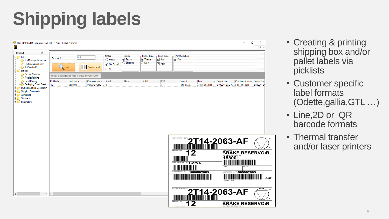### **Shipping labels**

#### Po Ekip MAPICS EDI Programı v.3.3-SLPTR\_App - [Label Printing]

O  $\mathsf{X}$  $B$   $\times$ 

**BRAKE RESERVOIR** 

 $\boldsymbol{\lambda}$ Teklas Edi  $\mathscr{D}$  X -Label Type -Print Selection-Status -Source -Printer Type -⊟ <mark>ki∳ Edi</mark> 582 PickList # O Printed **●** Picklist **Inemal**  $\vee$  Box  $\vee$  Print **Edi Message Processin**  $\bigcirc$  Shipment  $\bigcirc$  Laser  $\nabla$  Pallet **Edi to Syteline Export** ◉ Not Printed **Create Label** Edi Send ASN List  $\bigcirc$  All **E Picklist Ficklist Creation** Drag a cloumn header here to group by that column. **Picklist Printing Label Printing** PickList# Customer Name Ship to Gate S.S.No L<sub>3P</sub> Order # Customer# Item  $\overline{\phantom{a}}$  Description Cust.Item Number | Description **Packaging Order Creati** BRULÖR ECO 4. 6 111 042 3011 582 FORD OTOMOT... 0 6 111 042 3011 **BRULÖR E** M000001  $\blacksquare$ CO16102254 in the project and Ship.Doc.Printin 国 Shipping Documents **E**<sup>1</sup><sup>2</sup> Authorities 国**<sup>1</sup>/5** Shipment E Parameters 2T14-2063-AF **BRAKE RESERVOIR** 158001 <u> Harry Harry Harry Harry Harry Harry Harry Harry Harry Harry Harry Harry Harry Harry Harry Harry Harry Harry H</u> **BV7VA** 1060002065 OT NUMBER (H) 1060002065 <u> HERE IN HERE IN DE LA BIBLIOTECHNIC DE LA BIBLIOTECHNIC DE LA BIBLIOTECHNIC DE LA BIBLIOTECHNIC DE LA BIBLIOT</u> **AOP** CUSTOMER ITEM CO 14-2063-AF ⇒∥∢

- Creating & printing shipping box and/or pallet labels via picklists
- Customer specific label formats (Odette,gallia,GTL …)
- Line,2D or QR barcode formats
- Thermal transfer and/or laser printers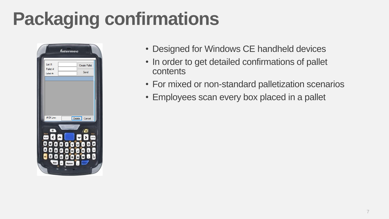## **Packaging confirmations**

|                                               | <i><b>Intermec</b></i>          |                       |                              |  |
|-----------------------------------------------|---------------------------------|-----------------------|------------------------------|--|
| List #:<br>Pallet #:<br>Label #:              |                                 |                       | <b>Create Pallet</b><br>Send |  |
|                                               |                                 |                       |                              |  |
| # Of Line:                                    |                                 | Delete Cancel         |                              |  |
| 0                                             |                                 |                       | //o                          |  |
| Q<br>A.<br>s<br>D<br>z)<br>$\mathbf{x}$<br>80 | ERTY<br>F<br>$\boxed{a}$<br>c v | U<br>H<br>J<br>B<br>N | $\circ$<br>ò                 |  |
| Esc                                           |                                 |                       |                              |  |

- Designed for Windows CE handheld devices
- In order to get detailed confirmations of pallet contents
- For mixed or non-standard palletization scenarios
- Employees scan every box placed in a pallet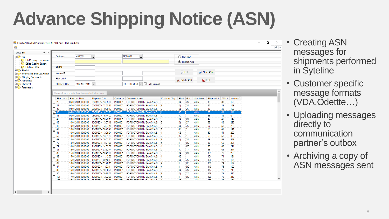## **Advance Shipping Notice (ASN)**

#### Ekip MAPICS EDI Programı v.3.3-SLPTR\_App - [Edi Send Asn]

 $\rightarrow$   $\vert$ 

 $\vert \cdot \vert$ 

| $\mathcal{P}$ $\times$<br>Teklas Edi                            |                                                    |                                            |                                            |                    |                                                        |                             |                            |                 |                     |                     |                 |          |            |  |  |
|-----------------------------------------------------------------|----------------------------------------------------|--------------------------------------------|--------------------------------------------|--------------------|--------------------------------------------------------|-----------------------------|----------------------------|-----------------|---------------------|---------------------|-----------------|----------|------------|--|--|
| 日じ Edi<br><b>Native Edi Message Processin</b>                   | Customer                                           | M000001                                    | $\blacksquare$                             |                    | $\blacksquare$<br>M000001                              |                             |                            | O New ASN       |                     |                     |                 |          |            |  |  |
|                                                                 |                                                    |                                            |                                            |                    |                                                        |                             |                            |                 | <b>◎</b> Repeat ASN |                     |                 |          |            |  |  |
| Edi to Syteline Export                                          |                                                    |                                            |                                            |                    |                                                        |                             |                            |                 |                     |                     |                 |          |            |  |  |
| Edi Send ASN                                                    | Ship to                                            |                                            |                                            |                    |                                                        |                             |                            |                 |                     |                     |                 |          |            |  |  |
| 国 <b><sup>1</sup>/2</b> Picklist                                | Invoice #                                          |                                            |                                            |                    |                                                        |                             |                            | $\partial$ List |                     |                     | <b>Send ASN</b> |          |            |  |  |
| 画 hypical and Ship.Doc.Printin<br><b>E-C</b> Shipping Documents |                                                    |                                            |                                            |                    |                                                        |                             |                            |                 |                     |                     |                 |          |            |  |  |
| 国 <b>专业</b> Authorities                                         | Pick List #                                        |                                            |                                            |                    |                                                        |                             |                            | S Delete ASN    |                     |                     | $\bigcup$ Exit  |          |            |  |  |
| 国 <b>上</b> Shipment                                             | Shipment Date                                      | 30/ 10/ 2013 $\sqrt{}$                     |                                            |                    | 30/ 10/ 2018<br>$\overline{(\vee)}$                    | $\sqrt{}$ Date Interval     |                            |                 |                     |                     |                 |          |            |  |  |
| <b>E</b> Parameters                                             |                                                    |                                            |                                            |                    |                                                        |                             |                            |                 |                     |                     |                 |          |            |  |  |
|                                                                 | Drag a cloumn header here to group by that column. |                                            |                                            |                    |                                                        |                             |                            |                 |                     |                     |                 |          |            |  |  |
|                                                                 |                                                    |                                            |                                            |                    |                                                        |                             |                            |                 |                     |                     |                 |          |            |  |  |
|                                                                 |                                                    | Pick List # Pick List Date                 | Shipment Date                              | Customer           | <b>Customer Name</b>                                   |                             | Customer Seq.              | Plant           | Gate                | Warehouse           | Shipment #      | ASN#     | Invoice #  |  |  |
|                                                                 | 25                                                 | 06/01/2014 00:00:00                        | 06/01/2014 13:05:00                        | M000001            | FORD OTOMOTIV SANAYI A.S.                              |                             | 3                          | Ю               | 26                  | MAIN                | 16              | 33       | 128        |  |  |
|                                                                 | $\Box$ 31                                          | 07/01/2014 00:00:00                        | 07/01/2014 13:28:33                        | M000001            | FORD OTOMOTIV SANAYI A.S.                              |                             | - 3                        | Ю               | 26                  | <b>MAIN</b>         | 27              | 38       | 128        |  |  |
|                                                                 | 33                                                 | 08/01/2014 00:00:00                        | 08/01/2014 10:30:13                        | M000001            | FORD OTOMOTIV SANAYI A.S.                              |                             | $\overline{\phantom{a}}$ 3 | IQ              | 26                  | <b>MAIN</b>         | 33              | 43       | 128        |  |  |
|                                                                 | $\mathbb{Z}$ 40                                    | 08/01/2014 00:00:00                        | 08/01/2014 16:33:29                        | M000001            | <b>FORD OTOMOTIV SANAYI A.S. 1</b>                     |                             |                            | $\overline{6}$  |                     | <b>MAIN</b>         | $\overline{38}$ | 44       | 141        |  |  |
|                                                                 | $\Box$ 41                                          | 08/01/2014 00:00:00                        | 08/01/2014 16:44:22                        | M000001            |                                                        | FORD OTOMOTIV SANAYI A.S. 2 |                            | IA              | $\blacksquare$      | MAIN                | 39              | 45       | 0          |  |  |
|                                                                 | 42                                                 | 09/01/2014 00:00:00                        | 09/01/2014 10:22:13                        | M000001            | FORD OTOMOTIV SANAYI A.S.                              |                             | - 3                        | Ю               | 26                  | MAIN                | 42              | 46       | 142        |  |  |
|                                                                 | 46                                                 | 10/01/2014 00:00:00                        | 10/01/2014 13:07:16                        | M000001            | FORD OTOMOTIV SANAYI A.S.                              |                             | - 3                        | Ю               | 27                  | <b>MAIN</b>         | 58              | 49       | 223        |  |  |
|                                                                 | $\Box$ 47                                          | 10/01/2014 00:00:00                        | 10/01/2014 13:07:48                        | M000001            | FORD OTOMOTIV SANAYI A.S.                              |                             | - 3                        | IQ              | 26                  | <b>MAIN</b>         | 57              | 50       | 223        |  |  |
|                                                                 | $\Box$ 48                                          | 10/01/2014 00:00:00                        | 10/01/2014 10:45:49                        | M000001            | FORD OTOMOTIV SANAYI A.S.                              |                             | $\blacksquare$             | 6Z              | 1                   | MAIN                | 55              | 48       | 141        |  |  |
|                                                                 | 51                                                 | 10/01/2014 00:00:00                        | 10/01/2014 13:08:04                        | M000001            |                                                        | FORD OTOMOTIV SANAYI A.S.   | $\blacksquare$             | 6Ζ              | 1                   | MAIN                | 59              | 51       | 222        |  |  |
|                                                                 | 52                                                 | 10/01/2014 00:00:00                        | 10/01/2014 13:51:53                        | M000001            | FORD OTOMOTIV SANAYI A.S.                              |                             | $\overline{2}$             | lΑ              | 1                   | MAIN                | 60              | 52       | 0          |  |  |
|                                                                 | 69                                                 | 14/01/2014 00:00:00                        | 14/01/2014 10:01:11                        | M000001            | FORD OTOMOTIV SANAYI A.S.                              |                             | - 3                        | Ю               | 26                  | MAIN                | 86              | 58       | 223        |  |  |
|                                                                 | $\Box$ 70                                          | 14/01/2014 00:00:00                        | 14/01/2014 14:01:09                        | M000001            | FORD OTOMOTIV SANAYI A.S.                              |                             | $\overline{4}$             | $\mathbf{II}$   | BC                  | <b>MAIN</b>         | 88              | 62       | 221        |  |  |
|                                                                 | $\Box$ 72                                          | 14/01/2014 00:00:00                        | 14/01/2014 14:02:38                        | M000001            | FORD OTOMOTIV SANAYI A.S.                              |                             | $\frac{1}{4}$              | Ш               | КC                  | <b>MAIN</b>         | 89              | 63       | 221        |  |  |
|                                                                 | 81                                                 | 15/01/2014 00:00:00                        | 15/01/2014 07:52:44<br>15/01/2014 10:49:00 | M000001            |                                                        | FORD OTOMOTIV SANAYI A.S.   | - 2                        | IΑ              | 17<br>26            | MAIN                | 99              | 68       | 244        |  |  |
|                                                                 | 82<br>83                                           | 15/01/2014 00:00:00<br>15/01/2014 00:00:00 | 15/01/2014 11:42:00                        | M000001<br>M000001 | FORD OTOMOTIV SANAYI A.S.<br>FORD OTOMOTIV SANAYI A.S. |                             | - 3<br>-1                  | IQ<br>6Ζ        | 1                   | MAIN<br><b>MAIN</b> | 103<br>104      | 70<br>71 | 223<br>194 |  |  |
|                                                                 | $\Box$ 85                                          | 16/01/2014 00:00:00                        | 16/01/2014 09:49:11                        | M000001            | FORD OTOMOTIV SANAYI A.S.                              |                             | - 3                        | IQ              | 26                  | <b>MAIN</b>         | 108             | 73       | 195        |  |  |
|                                                                 | $\Box$ 86                                          | 16/01/2014 00:00:00                        | 16/01/2014 11:20:11                        | M000001            | FORD OTOMOTIV SANAYI A.S.                              |                             | $\overline{4}$             | Ш               | КC                  | <b>MAIN</b>         | 109             | 74       | 192        |  |  |
|                                                                 | 87                                                 | 16/01/2014 00:00:00                        | 16/01/2014 11:23:11                        | M000001            | FORD OTOMOTIV SANAYI A.S.                              |                             | $\overline{4}$             | Ш               | BC                  | MAIN                | 110             | 75       | 192        |  |  |
|                                                                 | 89                                                 | 16/01/2014 00:00:00                        | 17/01/2014 10:30:25                        | M000001            | FORD OTOMOTIV SANAYI A.S.                              |                             | - 3                        | IQ              | 26                  | MAIN                | 117             | 77       | 215        |  |  |
|                                                                 | 90                                                 | 16/01/2014 00:00:00                        | 17/01/2014 10:30:25                        | M000001            | FORD OTOMOTIV SANAYI A.S.                              |                             | - 3                        | Ю               | 27                  | MAIN                | 118             | 78       | 215        |  |  |
|                                                                 | $\Box$ 101                                         | 17/01/2014 00:00:00                        | 17/01/2014 13:02:08                        | M000001            | FORD OTOMOTIV SANAYI A.S.                              |                             | $\overline{4}$             | Ш               | ВC                  | MAIN                | 120             | 79       | 216        |  |  |
|                                                                 | $\Box$ 105                                         | 17/01/2014 00:00:00                        | 17/01/00:11 14-00-60                       | <b>MODODO1</b>     |                                                        | EODD OTOMOTIV CANAVILA C 1  |                            | C7              | $\blacksquare$      | MAINE               | 100             | on       | 104        |  |  |
|                                                                 |                                                    |                                            |                                            |                    |                                                        |                             |                            |                 |                     |                     |                 |          |            |  |  |



- Creating ASN messages for shipments performed in Syteline
- Customer specific message formats (VDA,Odettte…)
- Uploading messages directly to communication partner's outbox
- Archiving a copy of ASN messages sent